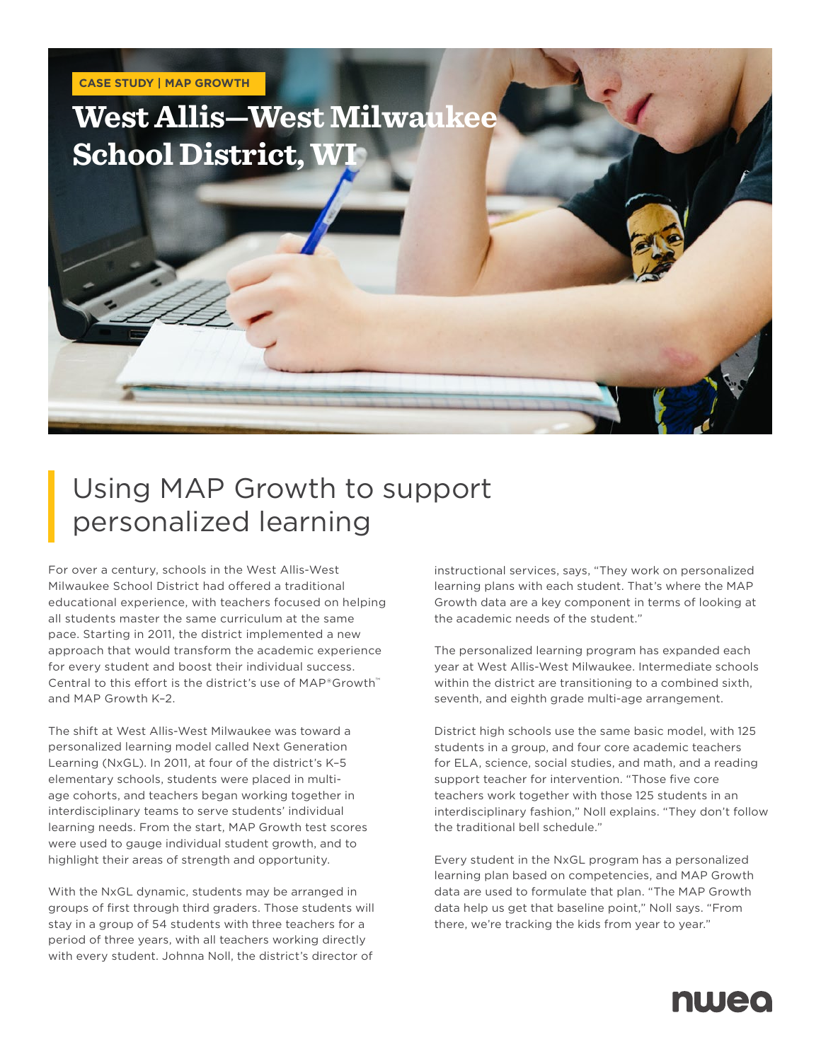

# Using MAP Growth to support personalized learning

For over a century, schools in the West Allis-West Milwaukee School District had offered a traditional educational experience, with teachers focused on helping all students master the same curriculum at the same pace. Starting in 2011, the district implemented a new approach that would transform the academic experience for every student and boost their individual success. Central to this effort is the district's use of MAP®Growth™ and MAP Growth K–2.

The shift at West Allis-West Milwaukee was toward a personalized learning model called Next Generation Learning (NxGL). In 2011, at four of the district's K–5 elementary schools, students were placed in multiage cohorts, and teachers began working together in interdisciplinary teams to serve students' individual learning needs. From the start, MAP Growth test scores were used to gauge individual student growth, and to highlight their areas of strength and opportunity.

With the NxGL dynamic, students may be arranged in groups of first through third graders. Those students will stay in a group of 54 students with three teachers for a period of three years, with all teachers working directly with every student. Johnna Noll, the district's director of

instructional services, says, "They work on personalized learning plans with each student. That's where the MAP Growth data are a key component in terms of looking at the academic needs of the student."

The personalized learning program has expanded each year at West Allis-West Milwaukee. Intermediate schools within the district are transitioning to a combined sixth, seventh, and eighth grade multi-age arrangement.

District high schools use the same basic model, with 125 students in a group, and four core academic teachers for ELA, science, social studies, and math, and a reading support teacher for intervention. "Those five core teachers work together with those 125 students in an interdisciplinary fashion," Noll explains. "They don't follow the traditional bell schedule."

Every student in the NxGL program has a personalized learning plan based on competencies, and MAP Growth data are used to formulate that plan. "The MAP Growth data help us get that baseline point," Noll says. "From there, we're tracking the kids from year to year."

# nweo